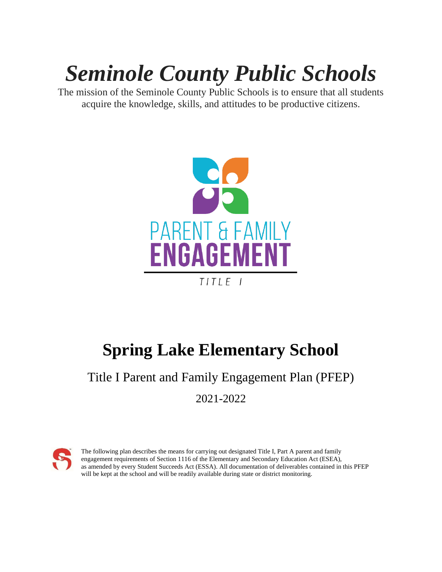# *Seminole County Public Schools*

The mission of the Seminole County Public Schools is to ensure that all students acquire the knowledge, skills, and attitudes to be productive citizens.



## **Spring Lake Elementary School**

### Title I Parent and Family Engagement Plan (PFEP) 2021-2022



The following plan describes the means for carrying out designated Title I, Part A parent and family engagement requirements of Section 1116 of the Elementary and Secondary Education Act (ESEA), as amended by every Student Succeeds Act (ESSA). All documentation of deliverables contained in this PFEP will be kept at the school and will be readily available during state or district monitoring.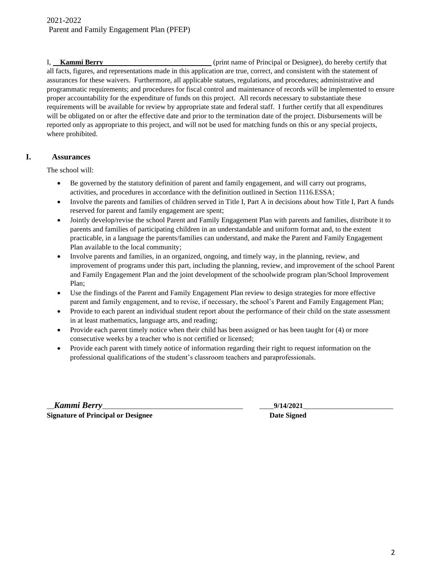I, **Kammi Berry** (print name of Principal or Designee), do hereby certify that all facts, figures, and representations made in this application are true, correct, and consistent with the statement of assurances for these waivers. Furthermore, all applicable statues, regulations, and procedures; administrative and programmatic requirements; and procedures for fiscal control and maintenance of records will be implemented to ensure proper accountability for the expenditure of funds on this project. All records necessary to substantiate these requirements will be available for review by appropriate state and federal staff. I further certify that all expenditures will be obligated on or after the effective date and prior to the termination date of the project. Disbursements will be reported only as appropriate to this project, and will not be used for matching funds on this or any special projects, where prohibited.

#### **I. Assurances**

The school will:

- Be governed by the statutory definition of parent and family engagement, and will carry out programs, activities, and procedures in accordance with the definition outlined in Section 1116.ESSA;
- Involve the parents and families of children served in Title I, Part A in decisions about how Title I, Part A funds reserved for parent and family engagement are spent;
- Jointly develop/revise the school Parent and Family Engagement Plan with parents and families, distribute it to parents and families of participating children in an understandable and uniform format and, to the extent practicable, in a language the parents/families can understand, and make the Parent and Family Engagement Plan available to the local community;
- Involve parents and families, in an organized, ongoing, and timely way, in the planning, review, and improvement of programs under this part, including the planning, review, and improvement of the school Parent and Family Engagement Plan and the joint development of the schoolwide program plan/School Improvement Plan;
- Use the findings of the Parent and Family Engagement Plan review to design strategies for more effective parent and family engagement, and to revise, if necessary, the school's Parent and Family Engagement Plan;
- Provide to each parent an individual student report about the performance of their child on the state assessment in at least mathematics, language arts, and reading;
- Provide each parent timely notice when their child has been assigned or has been taught for (4) or more consecutive weeks by a teacher who is not certified or licensed;
- Provide each parent with timely notice of information regarding their right to request information on the professional qualifications of the student's classroom teachers and paraprofessionals.

\_\_*Kammi Berry\_\_\_\_\_\_\_\_\_\_\_\_\_\_\_\_\_\_\_\_\_\_\_\_\_\_\_\_\_\_\_\_\_\_\_\_\_\_\_* \_\_\_\_**9/14/2021**\_\_\_\_\_\_\_\_\_\_\_\_\_\_\_\_\_\_\_\_\_\_\_\_\_ **Signature of Principal or Designee Server All Server Signature Date Signed**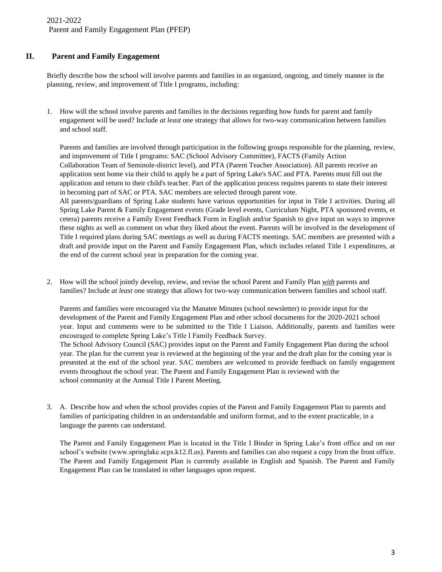#### **II. Parent and Family Engagement**

Briefly describe how the school will involve parents and families in an organized, ongoing, and timely manner in the planning, review, and improvement of Title I programs, including:

1. How will the school involve parents and families in the decisions regarding how funds for parent and family engagement will be used? Include *at least* one strategy that allows for two-way communication between families and school staff.

Parents and families are involved through participation in the following groups responsible for the planning, review, and improvement of Title I programs: SAC (School Advisory Committee), FACTS (Family Action Collaboration Team of Seminole-district level), and PTA (Parent Teacher Association). All parents receive an application sent home via their child to apply be a part of Spring Lake's SAC and PTA. Parents must fill out the application and return to their child's teacher. Part of the application process requires parents to state their interest in becoming part of SAC or PTA. SAC members are selected through parent vote. All parents/guardians of Spring Lake students have various opportunities for input in Title I activities. During all Spring Lake Parent & Family Engagement events (Grade level events, Curriculum Night, PTA sponsored events, et cetera) parents receive a Family Event Feedback Form in English and/or Spanish to give input on ways to improve these nights as well as comment on what they liked about the event. Parents will be involved in the development of

Title I required plans during SAC meetings as well as during FACTS meetings. SAC members are presented with a draft and provide input on the Parent and Family Engagement Plan, which includes related Title 1 expenditures, at the end of the current school year in preparation for the coming year.

2. How will the school jointly develop, review, and revise the school Parent and Family Plan *with* parents and families? Include *at least* one strategy that allows for two-way communication between families and school staff.

Parents and families were encouraged via the Manatee Minutes (school newsletter) to provide input for the development of the Parent and Family Engagement Plan and other school documents for the 2020-2021 school year. Input and comments were to be submitted to the Title I Liaison. Additionally, parents and families were encouraged to complete Spring Lake's Title I Family Feedback Survey.

The School Advisory Council (SAC) provides input on the Parent and Family Engagement Plan during the school year. The plan for the current year is reviewed at the beginning of the year and the draft plan for the coming year is presented at the end of the school year. SAC members are welcomed to provide feedback on family engagement events throughout the school year. The Parent and Family Engagement Plan is reviewed with the school community at the Annual Title I Parent Meeting.

3. A. Describe how and when the school provides copies of the Parent and Family Engagement Plan to parents and families of participating children in an understandable and uniform format, and to the extent practicable, in a language the parents can understand.

The Parent and Family Engagement Plan is located in the Title I Binder in Spring Lake's front office and on our school's website (www.springlake.scps.k12.fl.us). Parents and families can also request a copy from the front office. The Parent and Family Engagement Plan is currently available in English and Spanish. The Parent and Family Engagement Plan can be translated in other languages upon request.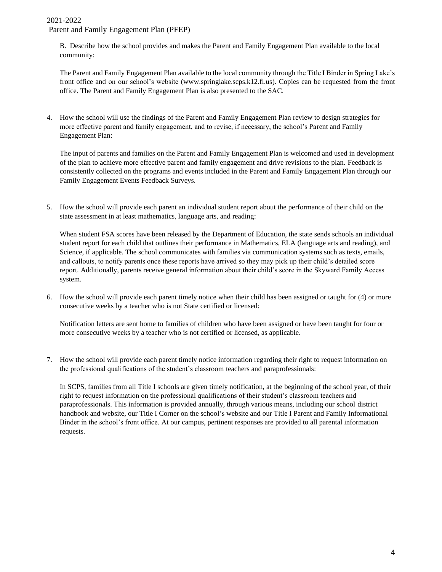B. Describe how the school provides and makes the Parent and Family Engagement Plan available to the local community:

The Parent and Family Engagement Plan available to the local community through the Title I Binder in Spring Lake's front office and on our school's website [\(www.springlake.scps.k12.fl.us\)](http://www.springlake.scps.k12.fl.us/). Copies can be requested from the front office. The Parent and Family Engagement Plan is also presented to the SAC.

4. How the school will use the findings of the Parent and Family Engagement Plan review to design strategies for more effective parent and family engagement, and to revise, if necessary, the school's Parent and Family Engagement Plan:

The input of parents and families on the Parent and Family Engagement Plan is welcomed and used in development of the plan to achieve more effective parent and family engagement and drive revisions to the plan. Feedback is consistently collected on the programs and events included in the Parent and Family Engagement Plan through our Family Engagement Events Feedback Surveys.

5. How the school will provide each parent an individual student report about the performance of their child on the state assessment in at least mathematics, language arts, and reading:

When student FSA scores have been released by the Department of Education, the state sends schools an individual student report for each child that outlines their performance in Mathematics, ELA (language arts and reading), and Science, if applicable. The school communicates with families via communication systems such as texts, emails, and callouts, to notify parents once these reports have arrived so they may pick up their child's detailed score report. Additionally, parents receive general information about their child's score in the Skyward Family Access system.

6. How the school will provide each parent timely notice when their child has been assigned or taught for (4) or more consecutive weeks by a teacher who is not State certified or licensed:

Notification letters are sent home to families of children who have been assigned or have been taught for four or more consecutive weeks by a teacher who is not certified or licensed, as applicable.

7. How the school will provide each parent timely notice information regarding their right to request information on the professional qualifications of the student's classroom teachers and paraprofessionals:

In SCPS, families from all Title I schools are given timely notification, at the beginning of the school year, of their right to request information on the professional qualifications of their student's classroom teachers and paraprofessionals. This information is provided annually, through various means, including our school district handbook and website, our Title I Corner on the school's website and our Title I Parent and Family Informational Binder in the school's front office. At our campus, pertinent responses are provided to all parental information requests.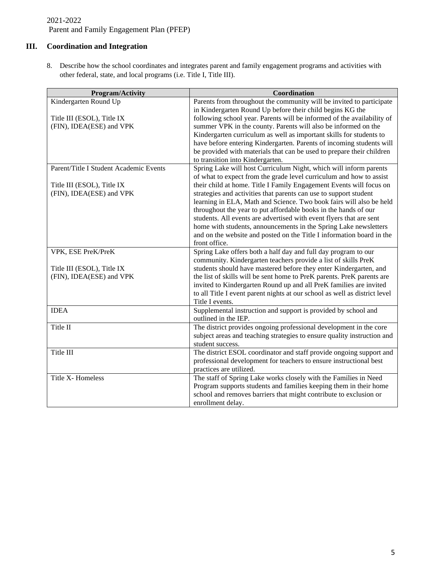### **III. Coordination and Integration**

8. Describe how the school coordinates and integrates parent and family engagement programs and activities with other federal, state, and local programs (i.e. Title I, Title III).

| <b>Program/Activity</b>                | Coordination                                                                                  |
|----------------------------------------|-----------------------------------------------------------------------------------------------|
| Kindergarten Round Up                  | Parents from throughout the community will be invited to participate                          |
|                                        | in Kindergarten Round Up before their child begins KG the                                     |
| Title III (ESOL), Title IX             | following school year. Parents will be informed of the availability of                        |
| (FIN), IDEA(ESE) and VPK               | summer VPK in the county. Parents will also be informed on the                                |
|                                        | Kindergarten curriculum as well as important skills for students to                           |
|                                        | have before entering Kindergarten. Parents of incoming students will                          |
|                                        | be provided with materials that can be used to prepare their children                         |
|                                        | to transition into Kindergarten.                                                              |
| Parent/Title I Student Academic Events | Spring Lake will host Curriculum Night, which will inform parents                             |
|                                        | of what to expect from the grade level curriculum and how to assist                           |
| Title III (ESOL), Title IX             | their child at home. Title I Family Engagement Events will focus on                           |
| (FIN), IDEA(ESE) and VPK               | strategies and activities that parents can use to support student                             |
|                                        | learning in ELA, Math and Science. Two book fairs will also be held                           |
|                                        | throughout the year to put affordable books in the hands of our                               |
|                                        | students. All events are advertised with event flyers that are sent                           |
|                                        | home with students, announcements in the Spring Lake newsletters                              |
|                                        | and on the website and posted on the Title I information board in the                         |
|                                        | front office.                                                                                 |
| VPK, ESE PreK/PreK                     | Spring Lake offers both a half day and full day program to our                                |
|                                        | community. Kindergarten teachers provide a list of skills PreK                                |
| Title III (ESOL), Title IX             | students should have mastered before they enter Kindergarten, and                             |
| (FIN), IDEA(ESE) and VPK               | the list of skills will be sent home to PreK parents. PreK parents are                        |
|                                        | invited to Kindergarten Round up and all PreK families are invited                            |
|                                        | to all Title I event parent nights at our school as well as district level                    |
|                                        | Title I events.                                                                               |
| <b>IDEA</b>                            | Supplemental instruction and support is provided by school and                                |
|                                        | outlined in the IEP.                                                                          |
| Title II                               | The district provides ongoing professional development in the core                            |
|                                        | subject areas and teaching strategies to ensure quality instruction and                       |
|                                        | student success.                                                                              |
| Title III                              | The district ESOL coordinator and staff provide ongoing support and                           |
|                                        | professional development for teachers to ensure instructional best<br>practices are utilized. |
| Title X- Homeless                      |                                                                                               |
|                                        | The staff of Spring Lake works closely with the Families in Need                              |
|                                        | Program supports students and families keeping them in their home                             |
|                                        | school and removes barriers that might contribute to exclusion or                             |
|                                        | enrollment delay.                                                                             |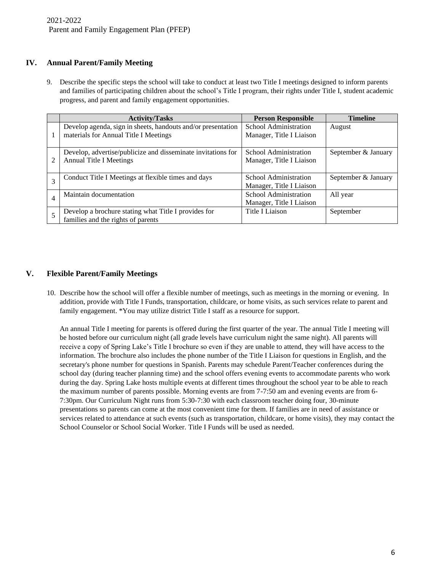#### **IV. Annual Parent/Family Meeting**

9. Describe the specific steps the school will take to conduct at least two Title I meetings designed to inform parents and families of participating children about the school's Title I program, their rights under Title I, student academic progress, and parent and family engagement opportunities.

|                | <b>Activity/Tasks</b>                                        | <b>Person Responsible</b> | <b>Timeline</b>     |
|----------------|--------------------------------------------------------------|---------------------------|---------------------|
|                | Develop agenda, sign in sheets, handouts and/or presentation | School Administration     | August              |
|                | materials for Annual Title I Meetings                        | Manager, Title I Liaison  |                     |
|                |                                                              |                           |                     |
|                | Develop, advertise/publicize and disseminate invitations for | School Administration     | September & January |
| 2              | <b>Annual Title I Meetings</b>                               | Manager, Title I Liaison  |                     |
|                |                                                              |                           |                     |
|                | Conduct Title I Meetings at flexible times and days          | School Administration     | September & January |
|                |                                                              | Manager, Title I Liaison  |                     |
| $\overline{4}$ | Maintain documentation                                       | School Administration     | All year            |
|                |                                                              | Manager, Title I Liaison  |                     |
|                | Develop a brochure stating what Title I provides for         | Title I Liaison           | September           |
|                | families and the rights of parents                           |                           |                     |

#### **V. Flexible Parent/Family Meetings**

10. Describe how the school will offer a flexible number of meetings, such as meetings in the morning or evening. In addition, provide with Title I Funds, transportation, childcare, or home visits, as such services relate to parent and family engagement. \*You may utilize district Title I staff as a resource for support.

An annual Title I meeting for parents is offered during the first quarter of the year. The annual Title I meeting will be hosted before our curriculum night (all grade levels have curriculum night the same night). All parents will receive a copy of Spring Lake's Title I brochure so even if they are unable to attend, they will have access to the information. The brochure also includes the phone number of the Title I Liaison for questions in English, and the secretary's phone number for questions in Spanish. Parents may schedule Parent/Teacher conferences during the school day (during teacher planning time) and the school offers evening events to accommodate parents who work during the day. Spring Lake hosts multiple events at different times throughout the school year to be able to reach the maximum number of parents possible. Morning events are from 7-7:50 am and evening events are from 6- 7:30pm. Our Curriculum Night runs from 5:30-7:30 with each classroom teacher doing four, 30-minute presentations so parents can come at the most convenient time for them. If families are in need of assistance or services related to attendance at such events (such as transportation, childcare, or home visits), they may contact the School Counselor or School Social Worker. Title I Funds will be used as needed.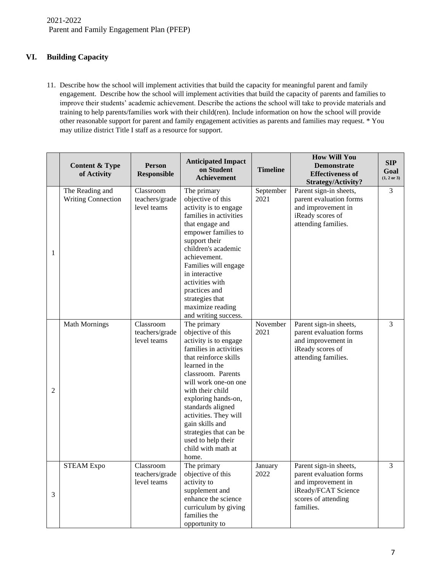#### **VI. Building Capacity**

11. Describe how the school will implement activities that build the capacity for meaningful parent and family engagement. Describe how the school will implement activities that build the capacity of parents and families to improve their students' academic achievement. Describe the actions the school will take to provide materials and training to help parents/families work with their child(ren). Include information on how the school will provide other reasonable support for parent and family engagement activities as parents and families may request. \* You may utilize district Title I staff as a resource for support.

|   | <b>Content &amp; Type</b><br>of Activity     | <b>Person</b><br><b>Responsible</b>        | <b>Anticipated Impact</b><br>on Student<br><b>Achievement</b>                                                                                                                                                                                                                                                                                                           | <b>Timeline</b>   | <b>How Will You</b><br><b>Demonstrate</b><br><b>Effectiveness of</b><br>Strategy/Activity?                                         | <b>SIP</b><br>Goal<br>$(1, 2 \text{ or } 3)$ |
|---|----------------------------------------------|--------------------------------------------|-------------------------------------------------------------------------------------------------------------------------------------------------------------------------------------------------------------------------------------------------------------------------------------------------------------------------------------------------------------------------|-------------------|------------------------------------------------------------------------------------------------------------------------------------|----------------------------------------------|
| 1 | The Reading and<br><b>Writing Connection</b> | Classroom<br>teachers/grade<br>level teams | The primary<br>objective of this<br>activity is to engage<br>families in activities<br>that engage and<br>empower families to<br>support their<br>children's academic<br>achievement.<br>Families will engage<br>in interactive<br>activities with<br>practices and<br>strategies that<br>maximize reading<br>and writing success.                                      | September<br>2021 | Parent sign-in sheets,<br>parent evaluation forms<br>and improvement in<br>iReady scores of<br>attending families.                 | 3                                            |
| 2 | <b>Math Mornings</b>                         | Classroom<br>teachers/grade<br>level teams | The primary<br>objective of this<br>activity is to engage<br>families in activities<br>that reinforce skills<br>learned in the<br>classroom. Parents<br>will work one-on one<br>with their child<br>exploring hands-on,<br>standards aligned<br>activities. They will<br>gain skills and<br>strategies that can be<br>used to help their<br>child with math at<br>home. | November<br>2021  | Parent sign-in sheets,<br>parent evaluation forms<br>and improvement in<br>iReady scores of<br>attending families.                 | 3                                            |
| 3 | <b>STEAM Expo</b>                            | Classroom<br>teachers/grade<br>level teams | The primary<br>objective of this<br>activity to<br>supplement and<br>enhance the science<br>curriculum by giving<br>families the<br>opportunity to                                                                                                                                                                                                                      | January<br>2022   | Parent sign-in sheets,<br>parent evaluation forms<br>and improvement in<br>iReady/FCAT Science<br>scores of attending<br>families. | 3                                            |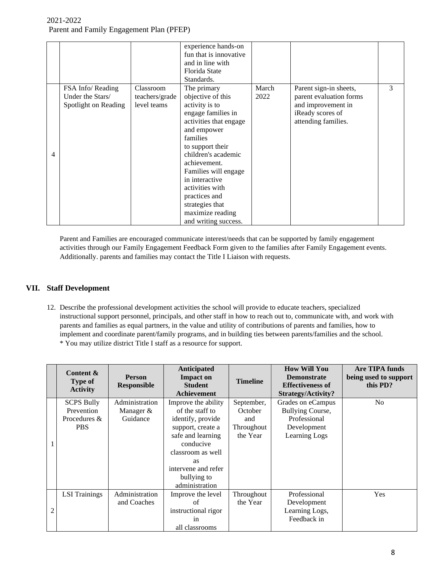|   |                                                              |                                            | experience hands-on<br>fun that is innovative<br>and in line with<br>Florida State<br>Standards.                                                                                                                                                                                                                                      |               |                                                                                                                    |   |
|---|--------------------------------------------------------------|--------------------------------------------|---------------------------------------------------------------------------------------------------------------------------------------------------------------------------------------------------------------------------------------------------------------------------------------------------------------------------------------|---------------|--------------------------------------------------------------------------------------------------------------------|---|
| 4 | FSA Info/Reading<br>Under the Stars/<br>Spotlight on Reading | Classroom<br>teachers/grade<br>level teams | The primary<br>objective of this<br>activity is to<br>engage families in<br>activities that engage<br>and empower<br>families<br>to support their<br>children's academic<br>achievement.<br>Families will engage<br>in interactive<br>activities with<br>practices and<br>strategies that<br>maximize reading<br>and writing success. | March<br>2022 | Parent sign-in sheets,<br>parent evaluation forms<br>and improvement in<br>iReady scores of<br>attending families. | 3 |

Parent and Families are encouraged communicate interest/needs that can be supported by family engagement activities through our Family Engagement Feedback Form given to the families after Family Engagement events. Additionally. parents and families may contact the Title I Liaison with requests.

#### **VII. Staff Development**

12. Describe the professional development activities the school will provide to educate teachers, specialized instructional support personnel, principals, and other staff in how to reach out to, communicate with, and work with parents and families as equal partners, in the value and utility of contributions of parents and families, how to implement and coordinate parent/family programs, and in building ties between parents/families and the school. \* You may utilize district Title I staff as a resource for support.

|   | Content &<br><b>Type of</b><br><b>Activity</b>                | <b>Person</b><br><b>Responsible</b>     | Anticipated<br><b>Impact on</b><br><b>Student</b><br><b>Achievement</b>                                                                                                                                      | <b>Timeline</b>                                        | <b>How Will You</b><br><b>Demonstrate</b><br><b>Effectiveness of</b><br>Strategy/Activity? | <b>Are TIPA funds</b><br>being used to support<br>this PD? |
|---|---------------------------------------------------------------|-----------------------------------------|--------------------------------------------------------------------------------------------------------------------------------------------------------------------------------------------------------------|--------------------------------------------------------|--------------------------------------------------------------------------------------------|------------------------------------------------------------|
|   | <b>SCPS Bully</b><br>Prevention<br>Procedures &<br><b>PBS</b> | Administration<br>Manager &<br>Guidance | Improve the ability<br>of the staff to<br>identify, provide<br>support, create a<br>safe and learning<br>conducive<br>classroom as well<br><b>as</b><br>intervene and refer<br>bullying to<br>administration | September,<br>October<br>and<br>Throughout<br>the Year | Grades on eCampus<br>Bullying Course,<br>Professional<br>Development<br>Learning Logs      | N <sub>o</sub>                                             |
| 2 | <b>LSI</b> Trainings                                          | Administration<br>and Coaches           | Improve the level<br>of<br>instructional rigor<br>in<br>all classrooms                                                                                                                                       | Throughout<br>the Year                                 | Professional<br>Development<br>Learning Logs,<br>Feedback in                               | Yes                                                        |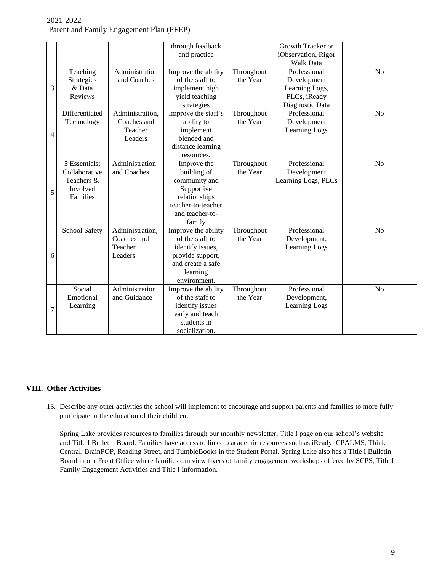|   |                                                                      |                                                      | through feedback<br>and practice                                                                                                |                        | Growth Tracker or<br>iObservation, Rigor<br><b>Walk Data</b>                     |                |
|---|----------------------------------------------------------------------|------------------------------------------------------|---------------------------------------------------------------------------------------------------------------------------------|------------------------|----------------------------------------------------------------------------------|----------------|
| 3 | Teaching<br>Strategies<br>& Data<br>Reviews                          | Administration<br>and Coaches                        | Improve the ability<br>of the staff to<br>implement high<br>yield teaching<br>strategies                                        | Throughout<br>the Year | Professional<br>Development<br>Learning Logs,<br>PLCs, iReady<br>Diagnostic Data | N <sub>o</sub> |
| 4 | Differentiated<br>Technology                                         | Administration,<br>Coaches and<br>Teacher<br>Leaders | Improve the staff's<br>ability to<br>implement<br>blended and<br>distance learning<br>resources.                                | Throughout<br>the Year | Professional<br>Development<br>Learning Logs                                     | N <sub>o</sub> |
| 5 | 5 Essentials:<br>Collaborative<br>Teachers &<br>Involved<br>Families | Administration<br>and Coaches                        | Improve the<br>building of<br>community and<br>Supportive<br>relationships<br>teacher-to-teacher<br>and teacher-to-<br>family   | Throughout<br>the Year | Professional<br>Development<br>Learning Logs, PLCs                               | N <sub>o</sub> |
| 6 | <b>School Safety</b>                                                 | Administration,<br>Coaches and<br>Teacher<br>Leaders | Improve the ability<br>of the staff to<br>identify issues,<br>provide support,<br>and create a safe<br>learning<br>environment. | Throughout<br>the Year | Professional<br>Development,<br>Learning Logs                                    | N <sub>o</sub> |
| 7 | Social<br>Emotional<br>Learning                                      | Administration<br>and Guidance                       | Improve the ability<br>of the staff to<br>identify issues<br>early and teach<br>students in<br>socialization.                   | Throughout<br>the Year | Professional<br>Development,<br>Learning Logs                                    | N <sub>o</sub> |

#### **VIII. Other Activities**

13. Describe any other activities the school will implement to encourage and support parents and families to more fully participate in the education of their children.

Spring Lake provides resources to families through our monthly newsletter, Title I page on our school's website and Title I Bulletin Board. Families have access to links to academic resources such as iReady, CPALMS, Think Central, BrainPOP, Reading Street, and TumbleBooks in the Student Portal. Spring Lake also has a Title I Bulletin Board in our Front Office where families can view flyers of family engagement workshops offered by SCPS, Title I Family Engagement Activities and Title I Information.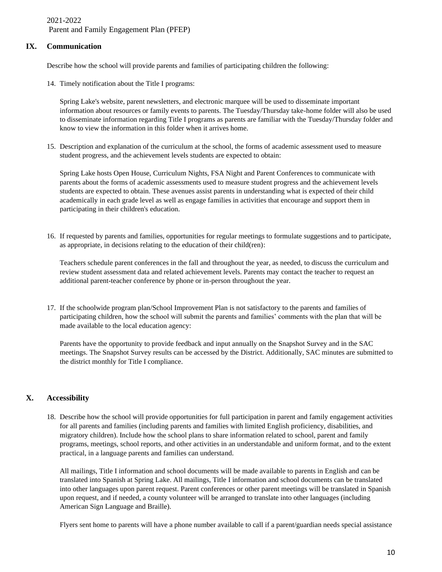#### **IX. Communication**

Describe how the school will provide parents and families of participating children the following:

14. Timely notification about the Title I programs:

Spring Lake's website, parent newsletters, and electronic marquee will be used to disseminate important information about resources or family events to parents. The Tuesday/Thursday take-home folder will also be used to disseminate information regarding Title I programs as parents are familiar with the Tuesday/Thursday folder and know to view the information in this folder when it arrives home.

15. Description and explanation of the curriculum at the school, the forms of academic assessment used to measure student progress, and the achievement levels students are expected to obtain:

Spring Lake hosts Open House, Curriculum Nights, FSA Night and Parent Conferences to communicate with parents about the forms of academic assessments used to measure student progress and the achievement levels students are expected to obtain. These avenues assist parents in understanding what is expected of their child academically in each grade level as well as engage families in activities that encourage and support them in participating in their children's education.

16. If requested by parents and families, opportunities for regular meetings to formulate suggestions and to participate, as appropriate, in decisions relating to the education of their child(ren):

Teachers schedule parent conferences in the fall and throughout the year, as needed, to discuss the curriculum and review student assessment data and related achievement levels. Parents may contact the teacher to request an additional parent-teacher conference by phone or in-person throughout the year.

17. If the schoolwide program plan/School Improvement Plan is not satisfactory to the parents and families of participating children, how the school will submit the parents and families' comments with the plan that will be made available to the local education agency:

Parents have the opportunity to provide feedback and input annually on the Snapshot Survey and in the SAC meetings. The Snapshot Survey results can be accessed by the District. Additionally, SAC minutes are submitted to the district monthly for Title I compliance.

#### **X. Accessibility**

18. Describe how the school will provide opportunities for full participation in parent and family engagement activities for all parents and families (including parents and families with limited English proficiency, disabilities, and migratory children). Include how the school plans to share information related to school, parent and family programs, meetings, school reports, and other activities in an understandable and uniform format, and to the extent practical, in a language parents and families can understand.

All mailings, Title I information and school documents will be made available to parents in English and can be translated into Spanish at Spring Lake. All mailings, Title I information and school documents can be translated into other languages upon parent request. Parent conferences or other parent meetings will be translated in Spanish upon request, and if needed, a county volunteer will be arranged to translate into other languages (including American Sign Language and Braille).

Flyers sent home to parents will have a phone number available to call if a parent/guardian needs special assistance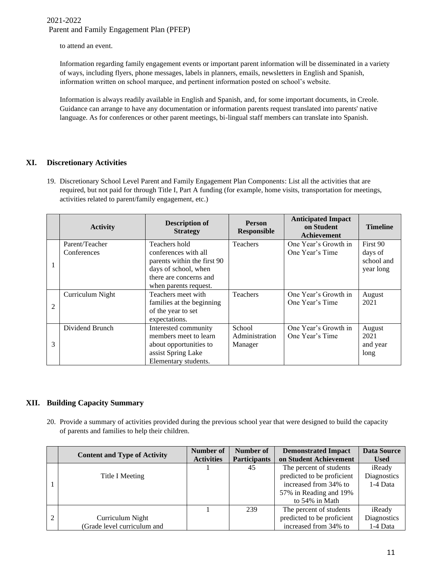to attend an event.

Information regarding family engagement events or important parent information will be disseminated in a variety of ways, including flyers, phone messages, labels in planners, emails, newsletters in English and Spanish, information written on school marquee, and pertinent information posted on school's website.

Information is always readily available in English and Spanish, and, for some important documents, in Creole. Guidance can arrange to have any documentation or information parents request translated into parents' native language. As for conferences or other parent meetings, bi-lingual staff members can translate into Spanish.

#### **XI. Discretionary Activities**

19. Discretionary School Level Parent and Family Engagement Plan Components: List all the activities that are required, but not paid for through Title I, Part A funding (for example, home visits, transportation for meetings, activities related to parent/family engagement, etc.)

|                | <b>Activity</b>  | <b>Description of</b><br><b>Strategy</b> | <b>Person</b><br><b>Responsible</b> | <b>Anticipated Impact</b><br>on Student<br><b>Achievement</b> | <b>Timeline</b> |
|----------------|------------------|------------------------------------------|-------------------------------------|---------------------------------------------------------------|-----------------|
|                | Parent/Teacher   | Teachers hold                            | Teachers                            | One Year's Growth in                                          | First 90        |
|                | Conferences      | conferences with all                     |                                     | One Year's Time                                               | days of         |
|                |                  | parents within the first 90              |                                     |                                                               | school and      |
|                |                  | days of school, when                     |                                     |                                                               | year long       |
|                |                  | there are concerns and                   |                                     |                                                               |                 |
|                |                  | when parents request.                    |                                     |                                                               |                 |
|                | Curriculum Night | Teachers meet with                       | <b>Teachers</b>                     | One Year's Growth in                                          | August          |
| $\overline{2}$ |                  | families at the beginning                |                                     | One Year's Time                                               | 2021            |
|                |                  | of the year to set                       |                                     |                                                               |                 |
|                |                  | expectations.                            |                                     |                                                               |                 |
|                | Dividend Brunch  | Interested community                     | School                              | One Year's Growth in                                          | August          |
|                |                  | members meet to learn                    | Administration                      | One Year's Time                                               | 2021            |
| 3              |                  | about opportunities to                   | Manager                             |                                                               | and year        |
|                |                  | assist Spring Lake                       |                                     |                                                               | long            |
|                |                  | Elementary students.                     |                                     |                                                               |                 |

#### **XII. Building Capacity Summary**

20. Provide a summary of activities provided during the previous school year that were designed to build the capacity of parents and families to help their children.

|                | <b>Content and Type of Activity</b> | Number of         | Number of           | <b>Demonstrated Impact</b> | <b>Data Source</b> |
|----------------|-------------------------------------|-------------------|---------------------|----------------------------|--------------------|
|                |                                     | <b>Activities</b> | <b>Participants</b> | on Student Achievement     | <b>Used</b>        |
|                |                                     |                   | 45                  | The percent of students    | iReady             |
|                | Title I Meeting                     |                   |                     | predicted to be proficient | <b>Diagnostics</b> |
|                |                                     |                   |                     | increased from 34% to      | 1-4 Data           |
|                |                                     |                   |                     | 57% in Reading and 19%     |                    |
|                |                                     |                   |                     | to 54% in Math             |                    |
|                |                                     |                   | 239                 | The percent of students    | iReady             |
| $\overline{2}$ | Curriculum Night                    |                   |                     | predicted to be proficient | Diagnostics        |
|                | (Grade level curriculum and         |                   |                     | increased from 34% to      | 1-4 Data           |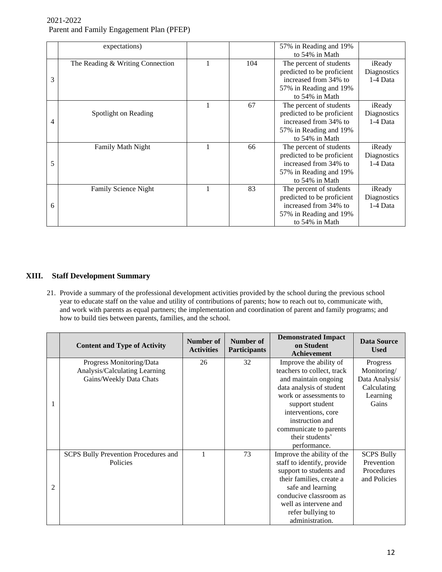|   | expectations)                    |   |     | 57% in Reading and 19%<br>to 54% in Math                                                                                   |                                   |
|---|----------------------------------|---|-----|----------------------------------------------------------------------------------------------------------------------------|-----------------------------------|
| 3 | The Reading & Writing Connection |   | 104 | The percent of students<br>predicted to be proficient<br>increased from 34% to<br>57% in Reading and 19%<br>to 54% in Math | iReady<br>Diagnostics<br>1-4 Data |
| 4 | Spotlight on Reading             | 1 | 67  | The percent of students<br>predicted to be proficient<br>increased from 34% to<br>57% in Reading and 19%<br>to 54% in Math | iReady<br>Diagnostics<br>1-4 Data |
| 5 | Family Math Night                |   | 66  | The percent of students<br>predicted to be proficient<br>increased from 34% to<br>57% in Reading and 19%<br>to 54% in Math | iReady<br>Diagnostics<br>1-4 Data |
| 6 | Family Science Night             |   | 83  | The percent of students<br>predicted to be proficient<br>increased from 34% to<br>57% in Reading and 19%<br>to 54% in Math | iReady<br>Diagnostics<br>1-4 Data |

#### **XIII. Staff Development Summary**

21. Provide a summary of the professional development activities provided by the school during the previous school year to educate staff on the value and utility of contributions of parents; how to reach out to, communicate with, and work with parents as equal partners; the implementation and coordination of parent and family programs; and how to build ties between parents, families, and the school.

|                | <b>Content and Type of Activity</b>  | Number of<br><b>Activities</b> | Number of<br><b>Participants</b> | <b>Demonstrated Impact</b><br>on Student<br>Achievement | <b>Data Source</b><br><b>Used</b> |
|----------------|--------------------------------------|--------------------------------|----------------------------------|---------------------------------------------------------|-----------------------------------|
|                | Progress Monitoring/Data             | 26                             | 32                               | Improve the ability of                                  | Progress                          |
|                | Analysis/Calculating Learning        |                                |                                  | teachers to collect, track                              | Monitoring/                       |
|                | Gains/Weekly Data Chats              |                                |                                  | and maintain ongoing                                    | Data Analysis/                    |
|                |                                      |                                |                                  | data analysis of student                                | Calculating                       |
|                |                                      |                                |                                  | work or assessments to                                  | Learning                          |
|                |                                      |                                |                                  | support student                                         | Gains                             |
|                |                                      |                                |                                  | interventions, core                                     |                                   |
|                |                                      |                                |                                  | instruction and                                         |                                   |
|                |                                      |                                |                                  | communicate to parents                                  |                                   |
|                |                                      |                                |                                  | their students'                                         |                                   |
|                |                                      |                                |                                  | performance.                                            |                                   |
|                | SCPS Bully Prevention Procedures and | 1                              | 73                               | Improve the ability of the                              | <b>SCPS Bully</b>                 |
|                | Policies                             |                                |                                  | staff to identify, provide                              | Prevention                        |
|                |                                      |                                |                                  | support to students and                                 | Procedures                        |
|                |                                      |                                |                                  | their families, create a                                | and Policies                      |
| $\overline{c}$ |                                      |                                |                                  | safe and learning                                       |                                   |
|                |                                      |                                |                                  | conducive classroom as                                  |                                   |
|                |                                      |                                |                                  | well as intervene and                                   |                                   |
|                |                                      |                                |                                  | refer bullying to                                       |                                   |
|                |                                      |                                |                                  | administration.                                         |                                   |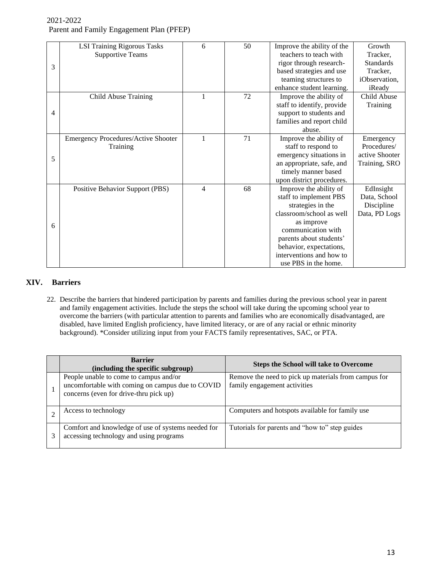|   | <b>LSI Training Rigorous Tasks</b>         | 6 | 50 | Improve the ability of the | Growth           |
|---|--------------------------------------------|---|----|----------------------------|------------------|
|   | <b>Supportive Teams</b>                    |   |    | teachers to teach with     | Tracker,         |
| 3 |                                            |   |    | rigor through research-    | <b>Standards</b> |
|   |                                            |   |    | based strategies and use   | Tracker,         |
|   |                                            |   |    | teaming structures to      | iObservation,    |
|   |                                            |   |    | enhance student learning.  | iReady           |
|   | Child Abuse Training                       | 1 | 72 | Improve the ability of     | Child Abuse      |
|   |                                            |   |    | staff to identify, provide | Training         |
| 4 |                                            |   |    | support to students and    |                  |
|   |                                            |   |    | families and report child  |                  |
|   |                                            |   |    | abuse.                     |                  |
|   | <b>Emergency Procedures/Active Shooter</b> | 1 | 71 | Improve the ability of     | Emergency        |
|   | Training                                   |   |    | staff to respond to        | Procedures/      |
| 5 |                                            |   |    | emergency situations in    | active Shooter   |
|   |                                            |   |    | an appropriate, safe, and  | Training, SRO    |
|   |                                            |   |    | timely manner based        |                  |
|   |                                            |   |    | upon district procedures.  |                  |
|   | Positive Behavior Support (PBS)            | 4 | 68 | Improve the ability of     | EdInsight        |
|   |                                            |   |    | staff to implement PBS     | Data, School     |
|   |                                            |   |    | strategies in the          | Discipline       |
|   |                                            |   |    | classroom/school as well   | Data, PD Logs    |
| 6 |                                            |   |    | as improve                 |                  |
|   |                                            |   |    | communication with         |                  |
|   |                                            |   |    | parents about students'    |                  |
|   |                                            |   |    | behavior, expectations,    |                  |
|   |                                            |   |    | interventions and how to   |                  |
|   |                                            |   |    | use PBS in the home.       |                  |

#### **XIV. Barriers**

22. Describe the barriers that hindered participation by parents and families during the previous school year in parent and family engagement activities. Include the steps the school will take during the upcoming school year to overcome the barriers (with particular attention to parents and families who are economically disadvantaged, are disabled, have limited English proficiency, have limited literacy, or are of any racial or ethnic minority background). \*Consider utilizing input from your FACTS family representatives, SAC, or PTA.

| <b>Barrier</b><br>(including the specific subgroup)                                                                                  | <b>Steps the School will take to Overcome</b>                                        |
|--------------------------------------------------------------------------------------------------------------------------------------|--------------------------------------------------------------------------------------|
| People unable to come to campus and/or<br>uncomfortable with coming on campus due to COVID<br>concerns (even for drive-thru pick up) | Remove the need to pick up materials from campus for<br>family engagement activities |
| Access to technology                                                                                                                 | Computers and hotspots available for family use                                      |
| Comfort and knowledge of use of systems needed for<br>accessing technology and using programs                                        | Tutorials for parents and "how to" step guides                                       |